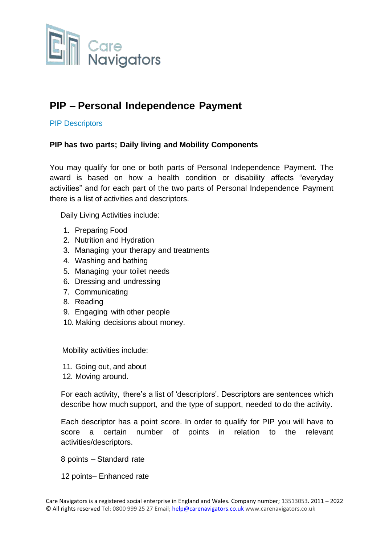

# **PIP – Personal Independence Payment**

#### PIP Descriptors

#### **PIP has two parts; Daily living and Mobility Components**

You may qualify for one or both parts of Personal Independence Payment. The award is based on how a health condition or disability affects "everyday activities" and for each part of the two parts of Personal Independence Payment there is a list of activities and descriptors.

Daily Living Activities include:

- 1. Preparing Food
- 2. Nutrition and Hydration
- 3. Managing your therapy and treatments
- 4. Washing and bathing
- 5. Managing your toilet needs
- 6. Dressing and undressing
- 7. Communicating
- 8. Reading
- 9. Engaging with other people
- 10. Making decisions about money.

Mobility activities include:

- 11. Going out, and about
- 12. Moving around.

For each activity, there's a list of 'descriptors'. Descriptors are sentences which describe how much support, and the type of support, needed to do the activity.

Each descriptor has a point score. In order to qualify for PIP you will have to score a certain number of points in relation to the relevant activities/descriptors.

8 points – Standard rate

12 points– Enhanced rate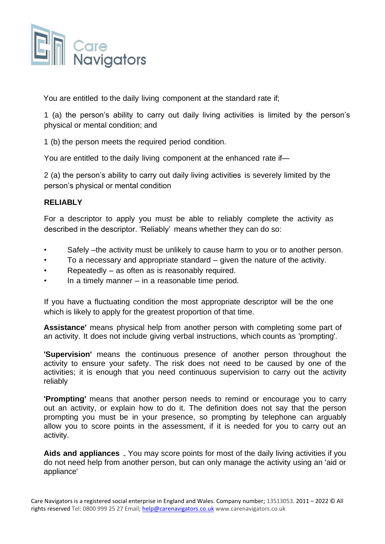

You are entitled to the daily living component at the standard rate if;

1 (a) the person's ability to carry out daily living activities is limited by the person's physical or mental condition; and

1 (b) the person meets the required period condition.

You are entitled to the daily living component at the enhanced rate if—

2 (a) the person's ability to carry out daily living activities is severely limited by the person's physical or mental condition

#### **RELIABLY**

For a descriptor to apply you must be able to reliably complete the activity as described in the descriptor. 'Reliably' means whether they can do so:

- Safely –the activity must be unlikely to cause harm to you or to another person.
- To a necessary and appropriate standard given the nature of the activity.
- Repeatedly  $-$  as often as is reasonably required.
- In a timely manner  $-$  in a reasonable time period.

If you have a fluctuating condition the most appropriate descriptor will be the one which is likely to apply for the greatest proportion of that time.

**Assistance'** means physical help from another person with completing some part of an activity. It does not include giving verbal instructions, which counts as 'prompting'.

**'Supervision'** means the continuous presence of another person throughout the activity to ensure your safety. The risk does not need to be caused by one of the activities; it is enough that you need continuous supervision to carry out the activity reliably

**'Prompting'** means that another person needs to remind or encourage you to carry out an activity, or explain how to do it. The definition does not say that the person prompting you must be in your presence, so prompting by telephone can arguably allow you to score points in the assessment, if it is needed for you to carry out an activity.

Aids and appliances . You may score points for most of the daily living activities if you do not need help from another person, but can only manage the activity using an 'aid or appliance'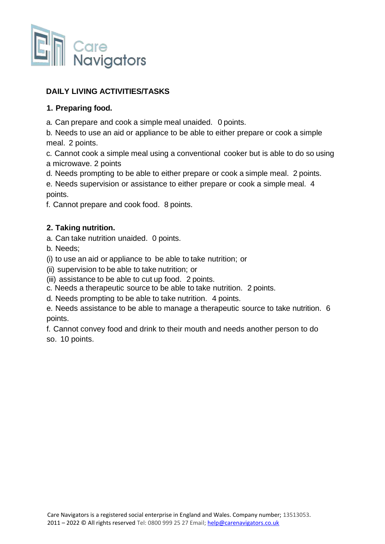

# **DAILY LIVING ACTIVITIES/TASKS**

#### **1. Preparing food.**

a. Can prepare and cook a simple meal unaided. 0 points.

b. Needs to use an aid or appliance to be able to either prepare or cook a simple meal. 2 points.

c. Cannot cook a simple meal using a conventional cooker but is able to do so using a microwave. 2 points

d. Needs prompting to be able to either prepare or cook a simple meal. 2 points.

e. Needs supervision or assistance to either prepare or cook a simple meal. 4 points.

f. Cannot prepare and cook food. 8 points.

#### **2. Taking nutrition.**

a. Can take nutrition unaided. 0 points.

b. Needs;

(i) to use an aid or appliance to be able to take nutrition; or

(ii) supervision to be able to take nutrition; or

(iii) assistance to be able to cut up food. 2 points.

c. Needs a therapeutic source to be able to take nutrition. 2 points.

d. Needs prompting to be able to take nutrition. 4 points.

e. Needs assistance to be able to manage a therapeutic source to take nutrition. 6 points.

f. Cannot convey food and drink to their mouth and needs another person to do so. 10 points.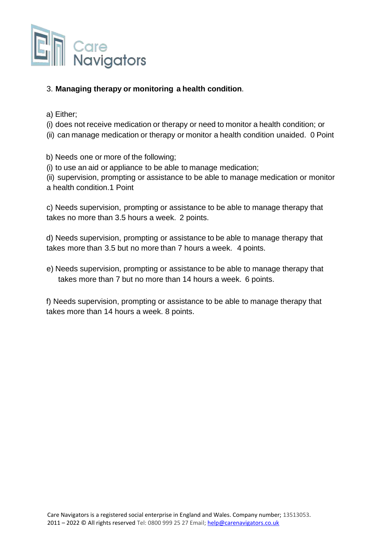

#### 3. **Managing therapy or monitoring a health condition**.

- a) Either;
- (i) does not receive medication or therapy or need to monitor a health condition; or
- (ii) can manage medication or therapy or monitor a health condition unaided. 0 Point

b) Needs one or more of the following;

(i) to use an aid or appliance to be able to manage medication;

(ii) supervision, prompting or assistance to be able to manage medication or monitor a health condition.1 Point

c) Needs supervision, prompting or assistance to be able to manage therapy that takes no more than 3.5 hours a week. 2 points.

d) Needs supervision, prompting or assistance to be able to manage therapy that takes more than 3.5 but no more than 7 hours a week. 4 points.

e) Needs supervision, prompting or assistance to be able to manage therapy that takes more than 7 but no more than 14 hours a week. 6 points.

f) Needs supervision, prompting or assistance to be able to manage therapy that takes more than 14 hours a week. 8 points.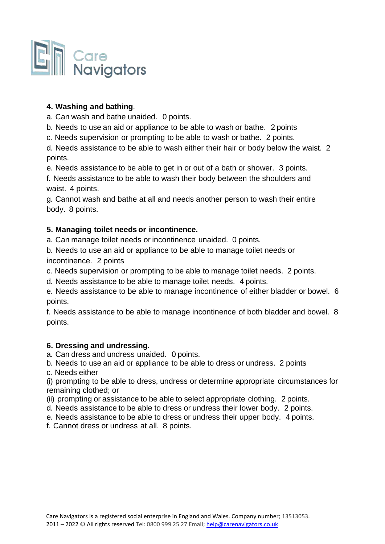

# **4. Washing and bathing**.

a. Can wash and bathe unaided. 0 points.

- b. Needs to use an aid or appliance to be able to wash or bathe. 2 points
- c. Needs supervision or prompting to be able to wash or bathe. 2 points.

d. Needs assistance to be able to wash either their hair or body below the waist. 2 points.

e. Needs assistance to be able to get in or out of a bath or shower. 3 points.

f. Needs assistance to be able to wash their body between the shoulders and waist. 4 points.

g. Cannot wash and bathe at all and needs another person to wash their entire body. 8 points.

# **5. Managing toilet needs or incontinence.**

a. Can manage toilet needs or incontinence unaided. 0 points.

b. Needs to use an aid or appliance to be able to manage toilet needs or

incontinence. 2 points

c. Needs supervision or prompting to be able to manage toilet needs. 2 points.

d. Needs assistance to be able to manage toilet needs. 4 points.

e. Needs assistance to be able to manage incontinence of either bladder or bowel. 6 points.

f. Needs assistance to be able to manage incontinence of both bladder and bowel. 8 points.

#### **6. Dressing and undressing.**

a. Can dress and undress unaided. 0 points.

b. Needs to use an aid or appliance to be able to dress or undress. 2 points

c. Needs either

(i) prompting to be able to dress, undress or determine appropriate circumstances for remaining clothed; or

(ii) prompting or assistance to be able to select appropriate clothing. 2 points.

- d. Needs assistance to be able to dress or undress their lower body. 2 points.
- e. Needs assistance to be able to dress or undress their upper body. 4 points.
- f. Cannot dress or undress at all. 8 points.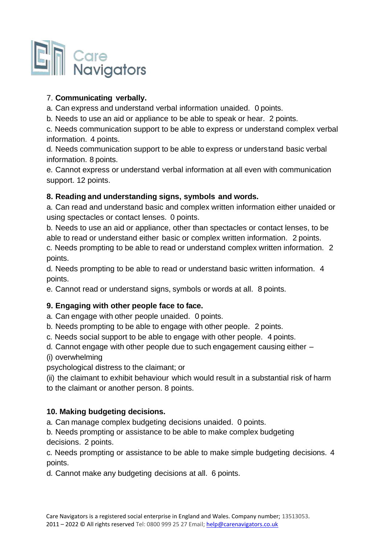

# 7. **Communicating verbally.**

a. Can express and understand verbal information unaided. 0 points.

b. Needs to use an aid or appliance to be able to speak or hear. 2 points.

c. Needs communication support to be able to express or understand complex verbal information. 4 points.

d. Needs communication support to be able to express or understand basic verbal information. 8 points.

e. Cannot express or understand verbal information at all even with communication support. 12 points.

# **8. Reading and understanding signs, symbols and words.**

a. Can read and understand basic and complex written information either unaided or using spectacles or contact lenses. 0 points.

b. Needs to use an aid or appliance, other than spectacles or contact lenses, to be able to read or understand either basic or complex written information. 2 points. c. Needs prompting to be able to read or understand complex written information. 2 points.

d. Needs prompting to be able to read or understand basic written information. 4 points.

e. Cannot read or understand signs, symbols or words at all. 8 points.

#### **9. Engaging with other people face to face.**

a. Can engage with other people unaided. 0 points.

b. Needs prompting to be able to engage with other people. 2 points.

c. Needs social support to be able to engage with other people. 4 points.

d. Cannot engage with other people due to such engagement causing either –

(i) overwhelming

psychological distress to the claimant; or

(ii) the claimant to exhibit behaviour which would result in a substantial risk of harm to the claimant or another person. 8 points.

#### **10. Making budgeting decisions.**

a. Can manage complex budgeting decisions unaided. 0 points.

b. Needs prompting or assistance to be able to make complex budgeting decisions. 2 points.

c. Needs prompting or assistance to be able to make simple budgeting decisions. 4 points.

d. Cannot make any budgeting decisions at all. 6 points.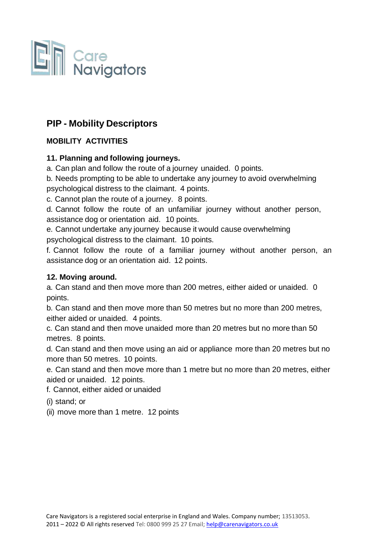

# **PIP - Mobility Descriptors**

# **MOBILITY ACTIVITIES**

#### **11. Planning and following journeys.**

a. Can plan and follow the route of a journey unaided. 0 points.

b. Needs prompting to be able to undertake any journey to avoid overwhelming psychological distress to the claimant. 4 points.

c. Cannot plan the route of a journey. 8 points.

d. Cannot follow the route of an unfamiliar journey without another person, assistance dog or orientation aid. 10 points.

e. Cannot undertake any journey because it would cause overwhelming psychological distress to the claimant. 10 points.

f. Cannot follow the route of a familiar journey without another person, an assistance dog or an orientation aid. 12 points.

# **12. Moving around.**

a. Can stand and then move more than 200 metres, either aided or unaided. 0 points.

b. Can stand and then move more than 50 metres but no more than 200 metres, either aided or unaided. 4 points.

c. Can stand and then move unaided more than 20 metres but no more than 50 metres. 8 points.

d. Can stand and then move using an aid or appliance more than 20 metres but no more than 50 metres. 10 points.

e. Can stand and then move more than 1 metre but no more than 20 metres, either aided or unaided. 12 points.

f. Cannot, either aided or unaided

(i) stand; or

(ii) move more than 1 metre. 12 points